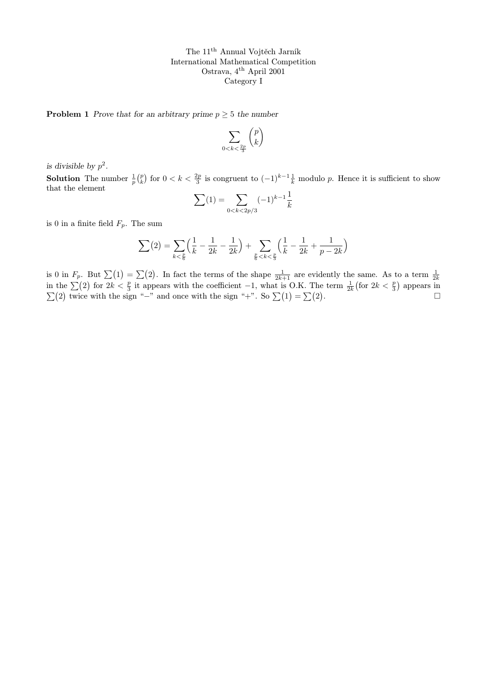**Problem 1** Prove that for an arbitrary prime  $p \geq 5$  the number

$$
\sum_{0 < k < \frac{2p}{3}} \binom{p}{k}
$$

is divisible by  $p^2$ .

**Solution** The number  $\frac{1}{p} {p \choose k}$  for  $0 < k < \frac{2p}{3}$  is congruent to  $(-1)^{k-1} \frac{1}{k}$  modulo p. Hence it is sufficient to show that the element

$$
\sum(1)=\sum_{0
$$

is 0 in a finite field  $F_p$ . The sum

$$
\sum_{k < \frac{p}{6}} \left( \frac{1}{k} - \frac{1}{2k} - \frac{1}{2k} \right) + \sum_{\frac{p}{6} < k < \frac{p}{3}} \left( \frac{1}{k} - \frac{1}{2k} + \frac{1}{p - 2k} \right)
$$

is 0 in  $F_p$ . But  $\sum_{i=1}^{\infty} (1) = \sum_{i=1}^{\infty} (2)$ . In fact the terms of the shape  $\frac{1}{2k+1}$  are evidently the same. As to a term  $\frac{1}{2k}$  in the  $\sum_{i=1}^{\infty} (2)$  for  $2k < \frac{p}{3}$  it appears with the coefficient -1  $\sum(2)$  twice with the sign "−" and once with the sign "+". So  $\sum(1) = \sum(2)$ .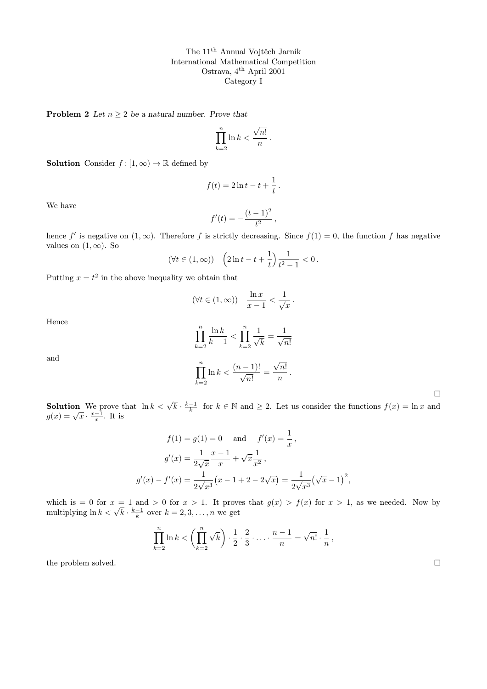**Problem 2** Let  $n \geq 2$  be a natural number. Prove that

$$
\prod_{k=2}^{n} \ln k < \frac{\sqrt{n!}}{n}
$$

.

**Solution** Consider  $f : [1, \infty) \to \mathbb{R}$  defined by

$$
f(t) = 2\ln t - t + \frac{1}{t}.
$$

We have

$$
f'(t) = -\frac{(t-1)^2}{t^2},
$$

hence f' is negative on  $(1, \infty)$ . Therefore f is strictly decreasing. Since  $f(1) = 0$ , the function f has negative values on  $(1, \infty)$ . So

$$
(\forall t \in (1, \infty)) \quad \left(2\ln t - t + \frac{1}{t}\right) \frac{1}{t^2 - 1} < 0.
$$

Putting  $x = t^2$  in the above inequality we obtain that

$$
(\forall t \in (1, \infty)) \quad \frac{\ln x}{x - 1} < \frac{1}{\sqrt{x}}.
$$

Hence

$$
\prod_{k=2}^{n} \frac{\ln k}{k-1} < \prod_{k=2}^{n} \frac{1}{\sqrt{k}} = \frac{1}{\sqrt{n!}}
$$
\n
$$
\prod_{k=2}^{n} \ln k < \frac{(n-1)!}{\sqrt{n!}} = \frac{\sqrt{n!}}{n}.
$$

and

**Solution** We prove that  $\ln k < \sqrt{k} \cdot \frac{k-1}{k}$  for  $k \in \mathbb{N}$  and  $\geq 2$ . Let us consider the functions  $f(x) = \ln x$  and  $g(x) = \sqrt{x} \cdot \frac{x-1}{x}$ . It is

$$
f(1) = g(1) = 0 \text{ and } f'(x) = \frac{1}{x},
$$
  

$$
g'(x) = \frac{1}{2\sqrt{x}} \frac{x-1}{x} + \sqrt{x} \frac{1}{x^2},
$$
  

$$
g'(x) - f'(x) = \frac{1}{2\sqrt{x^3}} (x - 1 + 2 - 2\sqrt{x}) = \frac{1}{2\sqrt{x^3}} (\sqrt{x} - 1)^2,
$$

which is = 0 for  $x = 1$  and > 0 for  $x > 1$ . It proves that  $g(x) > f(x)$  for  $x > 1$ , as we needed. Now by multiplying  $\ln k < \sqrt{k} \cdot \frac{k-1}{k}$  over  $k = 2, 3, ..., n$  we get

$$
\prod_{k=2}^{n} \ln k < \left(\prod_{k=2}^{n} \sqrt{k}\right) \cdot \frac{1}{2} \cdot \frac{2}{3} \cdot \ldots \cdot \frac{n-1}{n} = \sqrt{n!} \cdot \frac{1}{n},
$$

the problem solved.  $\Box$ 

 $\Box$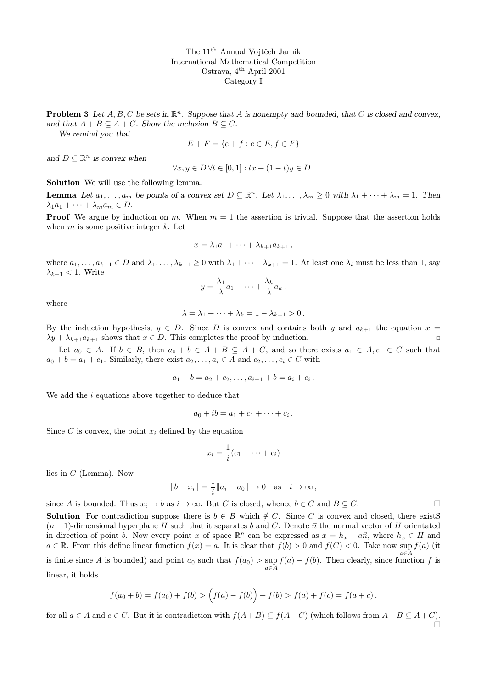**Problem 3** Let  $A, B, C$  be sets in  $\mathbb{R}^n$ . Suppose that A is nonempty and bounded, that C is closed and convex, and that  $A + B \subseteq A + C$ . Show the inclusion  $B \subseteq C$ .

We remind you that

$$
E + F = \{e + f : e \in E, f \in F\}
$$

and  $D \subseteq \mathbb{R}^n$  is convex when

$$
\forall x, y \in D \,\forall t \in [0,1]: tx + (1-t)y \in D.
$$

Solution We will use the following lemma.

**Lemma** Let  $a_1, \ldots, a_m$  be points of a convex set  $D \subseteq \mathbb{R}^n$ . Let  $\lambda_1, \ldots, \lambda_m \geq 0$  with  $\lambda_1 + \cdots + \lambda_m = 1$ . Then  $\lambda_1 a_1 + \cdots + \lambda_m a_m \in D.$ 

**Proof** We argue by induction on m. When  $m = 1$  the assertion is trivial. Suppose that the assertion holds when  $m$  is some positive integer  $k$ . Let

$$
x = \lambda_1 a_1 + \cdots + \lambda_{k+1} a_{k+1},
$$

where  $a_1, \ldots, a_{k+1} \in D$  and  $\lambda_1, \ldots, \lambda_{k+1} \geq 0$  with  $\lambda_1 + \cdots + \lambda_{k+1} = 1$ . At least one  $\lambda_i$  must be less than 1, say  $\lambda_{k+1}$  < 1. Write

$$
y = \frac{\lambda_1}{\lambda}a_1 + \cdots + \frac{\lambda_k}{\lambda}a_k,
$$

where

$$
\lambda = \lambda_1 + \dots + \lambda_k = 1 - \lambda_{k+1} > 0.
$$

By the induction hypothesis,  $y \in D$ . Since D is convex and contains both y and  $a_{k+1}$  the equation  $x =$  $\lambda y + \lambda_{k+1} a_{k+1}$  shows that  $x \in D$ . This completes the proof by induction.

Let  $a_0 \in A$ . If  $b \in B$ , then  $a_0 + b \in A + B \subseteq A + C$ , and so there exists  $a_1 \in A$ ,  $c_1 \in C$  such that  $a_0 + b = a_1 + c_1$ . Similarly, there exist  $a_2, \ldots, a_i \in A$  and  $c_2, \ldots, c_i \in C$  with

$$
a_1 + b = a_2 + c_2, \ldots, a_{i-1} + b = a_i + c_i.
$$

We add the i equations above together to deduce that

$$
a_0+ib=a_1+c_1+\cdots+c_i.
$$

Since C is convex, the point  $x_i$  defined by the equation

$$
x_i = \frac{1}{i}(c_1 + \dots + c_i)
$$

lies in C (Lemma). Now

$$
||b - x_i|| = \frac{1}{i} ||a_i - a_0|| \to 0 \text{ as } i \to \infty,
$$

since A is bounded. Thus  $x_i \to b$  as  $i \to \infty$ . But C is closed, whence  $b \in C$  and  $B \subseteq C$ .

**Solution** For contradiction suppose there is  $b \in B$  which  $\notin C$ . Since C is convex and closed, there existS  $(n-1)$ -dimensional hyperplane H such that it separates b and C. Denote  $\vec{n}$  the normal vector of H orientated in direction of point b. Now every point x of space  $\mathbb{R}^n$  can be expressed as  $x = h_x + a\vec{n}$ , where  $h_x \in H$  and  $a \in \mathbb{R}$ . From this define linear function  $f(x) = a$ . It is clear that  $f(b) > 0$  and  $f(C) < 0$ . Take now sup  $f(a)$  (it  $a \in A$ is finite since A is bounded) and point  $a_0$  such that  $f(a_0) > \sup_{a \in A} f(a) - f(b)$ . Then clearly, since function f is linear, it holds

$$
f(a_0 + b) = f(a_0) + f(b) > (f(a) - f(b)) + f(b) > f(a) + f(c) = f(a + c),
$$

for all  $a \in A$  and  $c \in C$ . But it is contradiction with  $f(A+B) \subseteq f(A+C)$  (which follows from  $A+B \subseteq A+C$ ).  $\Box$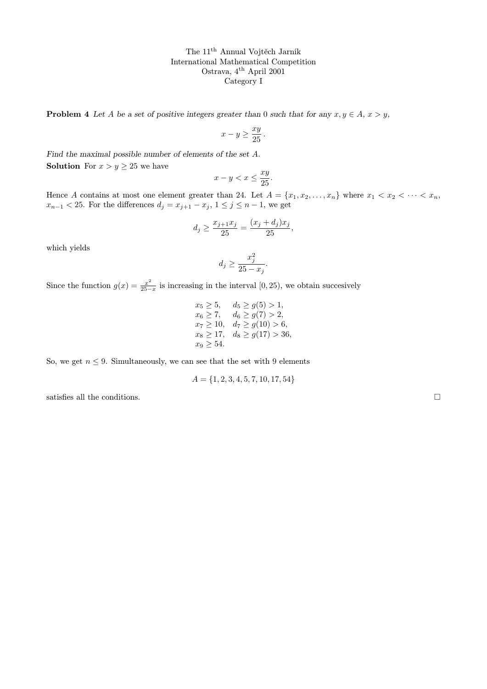**Problem 4** Let A be a set of positive integers greater than 0 such that for any  $x, y \in A$ ,  $x > y$ ,

$$
x - y \ge \frac{xy}{25}
$$

.

Find the maximal possible number of elements of the set A. **Solution** For  $x > y \ge 25$  we have

$$
x - y < x \le \frac{xy}{25}.
$$

Hence A contains at most one element greater than 24. Let  $A = \{x_1, x_2, \ldots, x_n\}$  where  $x_1 < x_2 < \cdots < x_n$ ,  $x_{n-1}$  < 25. For the differences  $d_j = x_{j+1} - x_j$ ,  $1 \le j \le n-1$ , we get

$$
d_j \ge \frac{x_{j+1}x_j}{25} = \frac{(x_j + d_j)x_j}{25},
$$

which yields

$$
d_j \ge \frac{x_j^2}{25 - x_j}.
$$

Since the function  $g(x) = \frac{x^2}{25-x^2}$  $\frac{x^2}{25-x}$  is increasing in the interval [0, 25), we obtain succesively

$$
x_5 \ge 5, \quad d_5 \ge g(5) > 1,
$$
  
\n
$$
x_6 \ge 7, \quad d_6 \ge g(7) > 2,
$$
  
\n
$$
x_7 \ge 10, \quad d_7 \ge g(10) > 6,
$$
  
\n
$$
x_8 \ge 17, \quad d_8 \ge g(17) > 36,
$$
  
\n
$$
x_9 \ge 54.
$$

So, we get  $n \leq 9$ . Simultaneously, we can see that the set with 9 elements

$$
A = \{1, 2, 3, 4, 5, 7, 10, 17, 54\}
$$

satisfies all the conditions.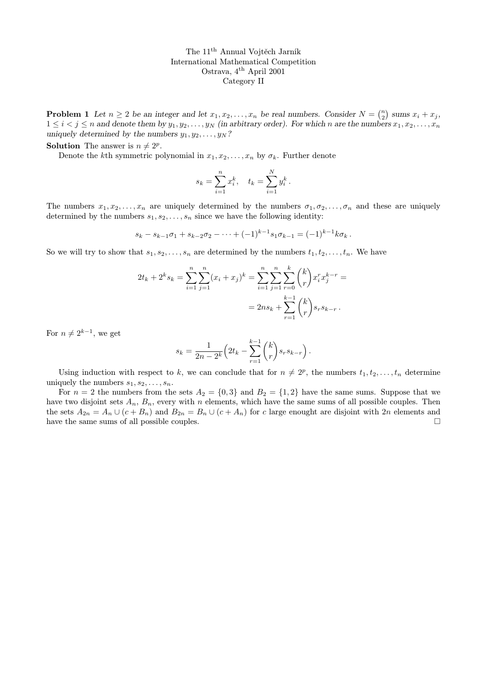**Problem 1** Let  $n \geq 2$  be an integer and let  $x_1, x_2, \ldots, x_n$  be real numbers. Consider  $N = \binom{n}{2}$  sums  $x_i + x_j$ ,  $1 \leq i < j \leq n$  and denote them by  $y_1, y_2, \ldots, y_N$  (in arbitrary order). For which n are the numbers  $x_1, x_2, \ldots, x_n$ uniquely determined by the numbers  $y_1, y_2, \ldots, y_N$ ?

**Solution** The answer is  $n \neq 2^p$ .

Denote the kth symmetric polynomial in  $x_1, x_2, \ldots, x_n$  by  $\sigma_k$ . Further denote

$$
s_k = \sum_{i=1}^n x_i^k, \quad t_k = \sum_{i=1}^N y_i^k.
$$

The numbers  $x_1, x_2, \ldots, x_n$  are uniquely determined by the numbers  $\sigma_1, \sigma_2, \ldots, \sigma_n$  and these are uniquely determined by the numbers  $s_1, s_2, \ldots, s_n$  since we have the following identity:

$$
s_k - s_{k-1}\sigma_1 + s_{k-2}\sigma_2 - \cdots + (-1)^{k-1}s_1\sigma_{k-1} = (-1)^{k-1}k\sigma_k.
$$

So we will try to show that  $s_1, s_2, \ldots, s_n$  are determined by the numbers  $t_1, t_2, \ldots, t_n$ . We have

$$
2t_k + 2^k s_k = \sum_{i=1}^n \sum_{j=1}^n (x_i + x_j)^k = \sum_{i=1}^n \sum_{j=1}^n \sum_{r=0}^k {k \choose r} x_i^r x_j^{k-r} =
$$
  
= 
$$
2ns_k + \sum_{r=1}^{k-1} {k \choose r} s_r s_{k-r}.
$$

For  $n \neq 2^{k-1}$ , we get

$$
s_k = \frac{1}{2n - 2^k} \left( 2t_k - \sum_{r=1}^{k-1} \binom{k}{r} s_r s_{k-r} \right).
$$

Using induction with respect to k, we can conclude that for  $n \neq 2^p$ , the numbers  $t_1, t_2, \ldots, t_n$  determine uniquely the numbers  $s_1, s_2, \ldots, s_n$ .

For  $n = 2$  the numbers from the sets  $A_2 = \{0,3\}$  and  $B_2 = \{1,2\}$  have the same sums. Suppose that we have two disjoint sets  $A_n$ ,  $B_n$ , every with n elements, which have the same sums of all possible couples. Then the sets  $A_{2n} = A_n \cup (c + B_n)$  and  $B_{2n} = B_n \cup (c + A_n)$  for c large enought are disjoint with 2n elements and have the same sums of all possible couples.  $\Box$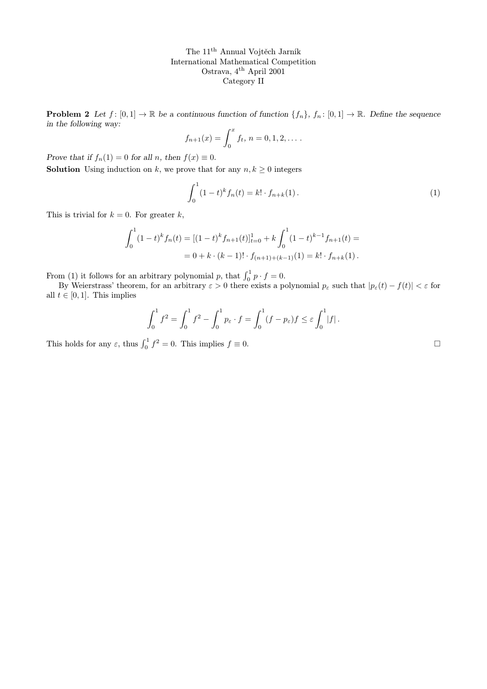**Problem 2** Let  $f: [0,1] \to \mathbb{R}$  be a continuous function of function  $\{f_n\}$ ,  $f_n: [0,1] \to \mathbb{R}$ . Define the sequence in the following way:

$$
f_{n+1}(x) = \int_0^x f_t, \, n = 0, 1, 2, \dots
$$

Prove that if  $f_n(1) = 0$  for all n, then  $f(x) \equiv 0$ .

**Solution** Using induction on k, we prove that for any  $n, k \geq 0$  integers

$$
\int_0^1 (1-t)^k f_n(t) = k! \cdot f_{n+k}(1).
$$
 (1)

This is trivial for  $k = 0$ . For greater k,

$$
\int_0^1 (1-t)^k f_n(t) = [(1-t)^k f_{n+1}(t)]_{t=0}^1 + k \int_0^1 (1-t)^{k-1} f_{n+1}(t) =
$$
  
= 0 + k \cdot (k-1)! \cdot f\_{(n+1)+(k-1)}(1) = k! \cdot f\_{n+k}(1).

From (1) it follows for an arbitrary polynomial p, that  $\int_0^1 p \cdot f = 0$ .

By Weierstrass' theorem, for an arbitrary  $\varepsilon > 0$  there exists a polynomial  $p_{\varepsilon}$  such that  $|p_{\varepsilon}(t) - f(t)| < \varepsilon$  for all  $t \in [0, 1]$ . This implies

$$
\int_0^1 f^2 = \int_0^1 f^2 - \int_0^1 p_\varepsilon \cdot f = \int_0^1 (f - p_\varepsilon) f \leq \varepsilon \int_0^1 |f|.
$$

This holds for any  $\varepsilon$ , thus  $\int_0^1 f^2 = 0$ . This implies  $f \equiv 0$ .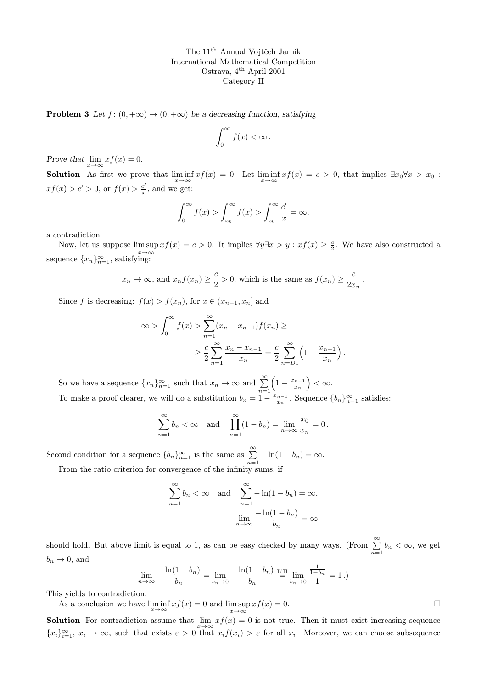**Problem 3** Let  $f : (0, +\infty) \to (0, +\infty)$  be a decreasing function, satisfying

$$
\int_0^\infty f(x) < \infty \, .
$$

Prove that  $\lim_{x \to \infty} x f(x) = 0$ .

**Solution** As first we prove that  $\liminf_{x\to\infty} x f(x) = 0$ . Let  $\liminf_{x\to\infty} x f(x) = c > 0$ , that implies  $\exists x_0 \forall x > x_0$ :  $xf(x) > c' > 0$ , or  $f(x) > \frac{c'}{x}$  $\frac{c'}{x}$ , and we get:

$$
\int_0^\infty f(x) > \int_{x_0}^\infty f(x) > \int_{x_0}^\infty \frac{c'}{x} = \infty,
$$

a contradiction.

Now, let us suppose  $\limsup x f(x) = c > 0$ . It implies  $\forall y \exists x > y : xf(x) \geq \frac{c}{2}$ . We have also constructed a sequence  ${x_n}_{n=1}^{\infty}$ , satisfying:

$$
x_n \to \infty
$$
, and  $x_n f(x_n) \ge \frac{c}{2} > 0$ , which is the same as  $f(x_n) \ge \frac{c}{2x_n}$ .

Since f is decreasing:  $f(x) > f(x_n)$ , for  $x \in (x_{n-1}, x_n]$  and

$$
\infty > \int_0^{\infty} f(x) > \sum_{n=1}^{\infty} (x_n - x_{n-1}) f(x_n) \ge
$$
  
 
$$
\geq \frac{c}{2} \sum_{n=1}^{\infty} \frac{x_n - x_{n-1}}{x_n} = \frac{c}{2} \sum_{n=0}^{\infty} \left( 1 - \frac{x_{n-1}}{x_n} \right).
$$

So we have a sequence  ${x_n}_{n=1}^{\infty}$  such that  $x_n \to \infty$  and  $\sum_{n=1}^{\infty}$  $\left(1-\frac{x_{n-1}}{x}\right)$  $\left(\frac{n-1}{x_n}\right) < \infty.$ To make a proof clearer, we will do a substitution  $b_n = 1 - \frac{x_{n-1}}{x_n}$  $\frac{a_{n-1}}{x_n}$ . Sequence  ${b_n}_{n=1}^{\infty}$  satisfies:

$$
\sum_{n=1}^{\infty} b_n < \infty \text{ and } \prod_{n=1}^{\infty} (1 - b_n) = \lim_{n \to \infty} \frac{x_0}{x_n} = 0.
$$

Second condition for a sequence  ${b_n}_{n=1}^{\infty}$  is the same as  $\sum_{n=1}^{\infty} -\ln(1-b_n) = \infty$ . From the ratio criterion for convergence of the infinity sums, if

$$
\sum_{n=1}^{\infty} b_n < \infty \quad \text{and} \quad \sum_{n=1}^{\infty} -\ln(1 - b_n) = \infty,
$$
\n
$$
\lim_{n \to \infty} \frac{-\ln(1 - b_n)}{b_n} = \infty
$$

should hold. But above limit is equal to 1, as can be easy checked by many ways. (From  $\sum_{n=1}^{\infty} b_n < \infty$ , we get  $b_n \to 0$ , and

$$
\lim_{n \to \infty} \frac{-\ln(1 - b_n)}{b_n} = \lim_{b_n \to 0} \frac{-\ln(1 - b_n)}{b_n} \stackrel{\text{L'H}}{=} \lim_{b_n \to 0} \frac{\frac{1}{1 - b_n}}{1} = 1.
$$

This yields to contradiction.

As a conclusion we have  $\liminf_{x \to \infty} x f(x) = 0$  and  $\limsup_{x \to \infty} x f(x) = 0$ .

**Solution** For contradiction assume that  $\lim_{x\to\infty} xf(x) = 0$  is not true. Then it must exist increasing sequence  ${x_i}_{i=1}^{\infty}, x_i \to \infty$ , such that exists  $\varepsilon > 0$  that  $x_i f(x_i) > \varepsilon$  for all  $x_i$ . Moreover, we can choose subsequence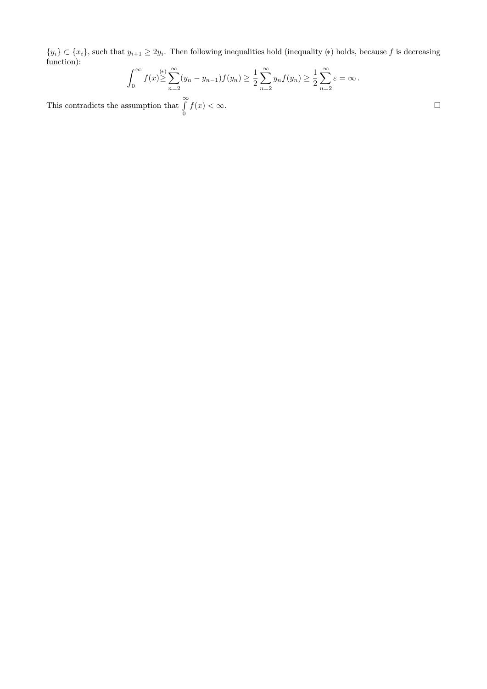$\{y_i\} \subset \{x_i\}$ , such that  $y_{i+1} \geq 2y_i$ . Then following inequalities hold (inequality  $(*)$ ) holds, because f is decreasing function):

$$
\int_0^\infty f(x) \geq \sum_{n=2}^\infty (y_n - y_{n-1}) f(y_n) \geq \frac{1}{2} \sum_{n=2}^\infty y_n f(y_n) \geq \frac{1}{2} \sum_{n=2}^\infty \varepsilon = \infty.
$$

This contradicts the assumption that  $\int_0^\infty$ 0  $f(x) < \infty$ .